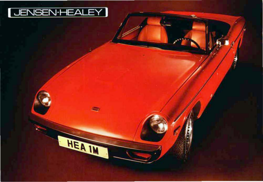

HEAIM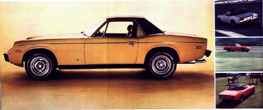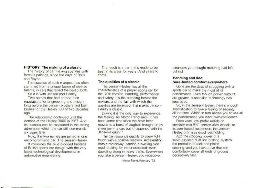# HISTORY. The making of a classic

The history of car making sparkles with famous painting since the days of Rolls and Rouge

The success of such manuals has often stemmed from a unique fusion of diverse talante, in care that reflect the best of both

So it is with Jensen and Healey

Two names that had earned their reputations for engineering and design long before the Jensen brothers first built bodies for the Healey 100 of two decades ago

The relationship continued until the demise of the Healey 3000 in 1967. And its success can be measured in the strong admiration which the car still commands. six years later

Now, the two names are joined in one. uncompromising car. The Jensen-Healey.

It combines the blue-blooded heritage of British sports car design with the very latest technological developments in automotive engineering.

The result is a car that's made to be best in its class for years. And years to como

# The qualities of a classic

The Jensen-Healey has all the characteristics of a proper source our for the '70s' comfort handling performance and safety. It's the breeding behind the mixture and the flair with which the cualities are balanced, that makes Jensen-Healey a classic

Driving it is the only way to experience the feeling. As Motor Trend said. It has been some time since we have been moved to a burst of laughter brought on by sheer joy in a car, but it happened with the Jensen-Healey"\*

The car responds quickly to every light touch with a positive reaction. Accelerating onto a motorway-taming a twisting side road-braking for the unexpected-even dawding along in heavy traffic. Everywhere you take a Jensen-Healey, you rediscover

"Motor Trend, February '73

pleasures you thought motoring had left. babind

## Handling and ride: Sure-footed comfort everywhere

Gone are the days of struggling with a sports car to make the most of asperformance. Even though nower outguts. are greater, suspension technology has kent nano

So, in the Jensen-Healey, there's engughsophistication to give a feeling of security all the time. Which in turn allows you to use all. the nerformance you want, with confidence

From wide, low-profile radials on specially-cast 5%" section alloy wheels, to its sure-footed suspension, the Jensen-Healey promises good roadholding

Add the stopping power of a servo-assisted dual line braking system. the precision of rack and pinion. steering-and you have a car that can comfortably cover all kinds of ground deceptively fast.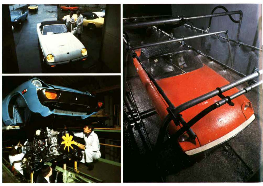



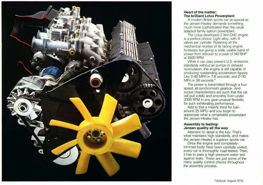

# Heart of the matter: The brilliant Lotus Powerplant

A modern Rritieh ennete car se snocial se the Jensen-Healey demands something much more positioticated than the unual adapted family saloon powerplant.

The Lotus developed 2 litre OHC engine is a nadart choica. Light allow with A valves ner cylinder. Retaining all the mechanical niceties of its raging engine. forghages hut oping a wide usable head of prayer from tickover to a neak of 140 RHP  $\approx$  6500 PPM

While it can nass present U.S. emissions standards without air numos or exhaust recirculation, this engine is still canable of producing outstanding acceleration figures. Like O-60 MPH in 7.8 concrete, and 0-110. MPH in 36 seconds."

The preser is transmitted through a four speed all synchromesh gearbox. And torous characteristics are such that the car. will cut solidly and smoothly from under 2000 RPM in any gear-unusual flexibility for such avhileration nerformance

Add to that a miserly thirst for fuelarcumed 25 MPG, and was harden to appreciate what a remarkable powerplant approclass what a reme<br>the Jeneer-Henley has

## Assembly to testing: Jensen quality all the way.

Attention to detail is the key. That's what maintaine high etandarde, and makes the Jensen-Healey a superior sports car.

Once the engine and completelytrimmed body have been carafully united. every car is thoroughly road tested. Then it has to nose a high organize water test anainst leaks. These are just some of the many quality control checks throughout the assembly process.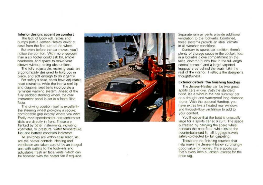# Interior design: accent on comfort

The lack of body roll, rattles and bumps puts a Jensen-Healey driver at ease from the first turn of the wheel.

But even before the car moves, you'll notice the comfort. With more learoom than a six footer could ask for, ampleheadroom, and space to move your elhows without hitting obstructions.

The fully adjustable, reclining seats are ergonomically designed to hold you in place, and soft enough to do it gently.

For safety's sake, seats have adjustable head restraints, while the inertia real lanand diagonal seat belts incorporate a reminder warning system. Ahead of the fully narkled steering wheel the mail instrument panel is set in a foam filled faria

The driving position itself is excellentthe steering wheel providing a secure. comfortable grip exactly where you want. Easily-read speedometer and tachometer dials are directly in front. These are flanked by other instruments, including voltmeter, oil pressure, water temperature. fuel and battery condition indicators.

All switches are within easy reach, as are the beater controls. Heating and ventilation are taken care of by an integral und with outlets to the footwells and adjustable fresh air face vents, which can be boosted with the heater fan if required.



Senarate ram air vents nrovide additional ventilation to the footwalls. Combined. these systems provide an ideal 'climate' in all weather conditions.

Contrary to sports car tradition, there's plenty of storage space in the cockpit, too: in a lockable glove compartment on the facia, covered cubby box in the full-length central console, and a large carpeted luggage area behind the seats. Like the rest of the interior, it reflects the designer's seedulbhoust!

# **Exterior details: the finishing touches**

The Jensen-Healey can be two great snorts cars in one: With the standard hood, it's a wind-in-the-hair summer car. or a draught and waterproof long-distance tourer. With the optional Hardton, you have extras like a heated rear window. and through-flow ventilation to add to vous comfort.

You'll notice that the boot is unusually large for a sports car at 6 cu ft. The space is created by carrying the spare wheel beneath the boot floor, while inside the counterbalanced lid. all luggage travels. safely-protected by full carpeting.

These are the finishing touches that help make the Jensen-Healey surprisingly good value for money. It's a sports car that's every inch a Jensen, except for the price tag.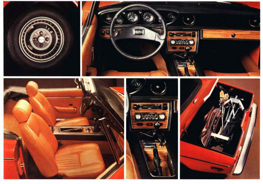